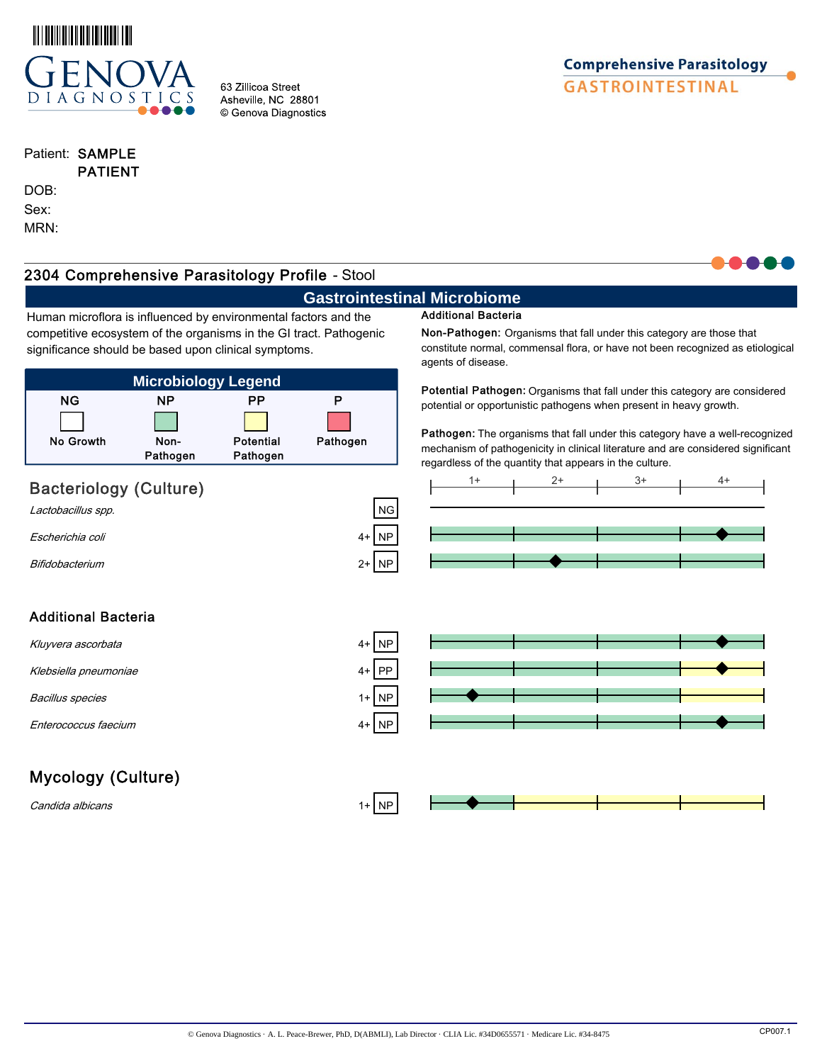

63 Zillicoa Street Asheville, NC 28801 © Genova Diagnostics

# **Comprehensive Parasitology GASTROINTESTINAL**

## Patient: SAMPLE

## PATIENT DOB: Sex:

MRN:

## **Microbiology Legend** NG NP PP P No Growth Non-Pathogen Potential Pathogen Pathogen Bacteriology (Culture)  $\frac{1+}{2+}$   $\frac{2+}{3+}$ Lactobacillus spp.  $\Box$ Escherichia coli 4+ NP Bifidobacterium 2+ NP Additional Bacteria Kluyvera ascorbata Klebsiella pneumoniae Bacillus species 1 and  $\overline{AB}$  1+ NP Enterococcus faecium 4+ NP Mycology (Culture)  $C$ andida albicans  $1+ \sqrt{NP}$ Human microflora is influenced by environmental factors and the competitive ecosystem of the organisms in the GI tract. Pathogenic significance should be based upon clinical symptoms. Non-Pathogen: Organisms that fall under this category are those that constitute normal, commensal flora, or have not been recognized as etiological agents of disease. Potential Pathogen: Organisms that fall under this category are considered potential or opportunistic pathogens when present in heavy growth. Pathogen: The organisms that fall under this category have a well-recognized mechanism of pathogenicity in clinical literature and are considered significant regardless of the quantity that appears in the culture. 2304 Comprehensive Parasitology Profile - Stool**Gastrointestinal Microbiome** Additional Bacteria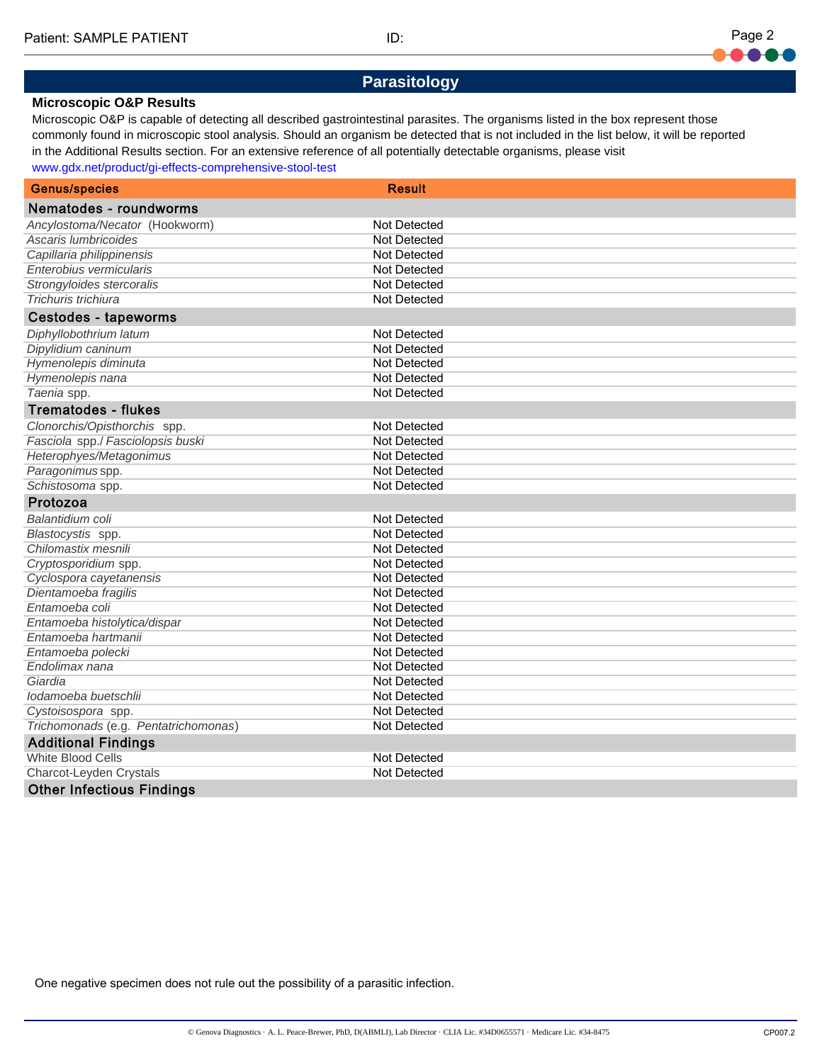**Parasitology**

### **Microscopic O&P Results**

Microscopic O&P is capable of detecting all described gastrointestinal parasites. The organisms listed in the box represent those commonly found in microscopic stool analysis. Should an organism be detected that is not included in the list below, it will be reported in the Additional Results section. For an extensive reference of all potentially detectable organisms, please visit www.gdx.net/product/gi-effects-comprehensive-stool-test

| <b>Genus/species</b>                 | <b>Result</b>       |
|--------------------------------------|---------------------|
|                                      |                     |
| Nematodes - roundworms               |                     |
| Ancylostoma/Necator (Hookworm)       | Not Detected        |
| Ascaris lumbricoides                 | <b>Not Detected</b> |
| Capillaria philippinensis            | <b>Not Detected</b> |
| Enterobius vermicularis              | Not Detected        |
| Strongyloides stercoralis            | Not Detected        |
| Trichuris trichiura                  | Not Detected        |
| <b>Cestodes - tapeworms</b>          |                     |
| Diphyllobothrium latum               | Not Detected        |
| Dipylidium caninum                   | Not Detected        |
| Hymenolepis diminuta                 | Not Detected        |
| Hymenolepis nana                     | Not Detected        |
| Taenia spp.                          | <b>Not Detected</b> |
| <b>Trematodes - flukes</b>           |                     |
| Clonorchis/Opisthorchis spp.         | Not Detected        |
| Fasciola spp./ Fasciolopsis buski    | <b>Not Detected</b> |
| Heterophyes/Metagonimus              | Not Detected        |
| Paragonimus spp.                     | Not Detected        |
| Schistosoma spp.                     | Not Detected        |
| Protozoa                             |                     |
| Balantidium coli                     | <b>Not Detected</b> |
| Blastocystis spp.                    | Not Detected        |
| Chilomastix mesnili                  | Not Detected        |
| Cryptosporidium spp.                 | Not Detected        |
| Cyclospora cayetanensis              | <b>Not Detected</b> |
| Dientamoeba fragilis                 | Not Detected        |
| Entamoeba coli                       | Not Detected        |
| Entamoeba histolytica/dispar         | Not Detected        |
| Entamoeba hartmanii                  | Not Detected        |
| Entamoeba polecki                    | <b>Not Detected</b> |
| Endolimax nana                       | Not Detected        |
| Giardia                              | Not Detected        |
| lodamoeba buetschlii                 | Not Detected        |
| Cystoisospora spp.                   | Not Detected        |
| Trichomonads (e.g. Pentatrichomonas) | Not Detected        |
| <b>Additional Findings</b>           |                     |
| <b>White Blood Cells</b>             | Not Detected        |
| Charcot-Leyden Crystals              | Not Detected        |
| <b>Other Infectious Findings</b>     |                     |

One negative specimen does not rule out the possibility of a parasitic infection.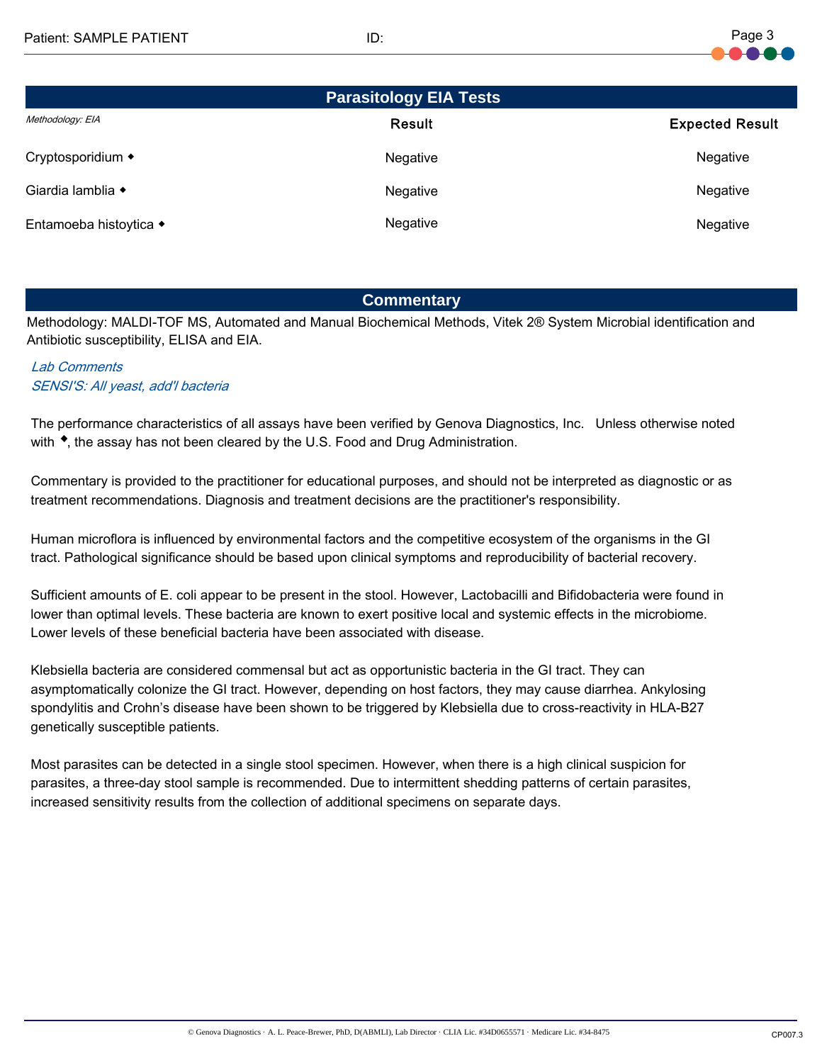

| <b>Parasitology EIA Tests</b> |               |                        |  |  |  |  |
|-------------------------------|---------------|------------------------|--|--|--|--|
| Methodology: EIA              | <b>Result</b> | <b>Expected Result</b> |  |  |  |  |
| Cryptosporidium ◆             | Negative      | Negative               |  |  |  |  |
| Giardia lamblia ◆             | Negative      | Negative               |  |  |  |  |
| Entamoeba histoytica ◆        | Negative      | Negative               |  |  |  |  |

## **Commentary**

Methodology: MALDI-TOF MS, Automated and Manual Biochemical Methods, Vitek 2® System Microbial identification and Antibiotic susceptibility, ELISA and EIA.

## Lab Comments SENSI'S: All yeast, add'l bacteria

The performance characteristics of all assays have been verified by Genova Diagnostics, Inc. Unless otherwise noted with  $\bullet$ , the assay has not been cleared by the U.S. Food and Drug Administration.

Commentary is provided to the practitioner for educational purposes, and should not be interpreted as diagnostic or as treatment recommendations. Diagnosis and treatment decisions are the practitioner's responsibility.

Human microflora is influenced by environmental factors and the competitive ecosystem of the organisms in the GI tract. Pathological significance should be based upon clinical symptoms and reproducibility of bacterial recovery.

Sufficient amounts of E. coli appear to be present in the stool. However, Lactobacilli and Bifidobacteria were found in lower than optimal levels. These bacteria are known to exert positive local and systemic effects in the microbiome. Lower levels of these beneficial bacteria have been associated with disease.

Klebsiella bacteria are considered commensal but act as opportunistic bacteria in the GI tract. They can asymptomatically colonize the GI tract. However, depending on host factors, they may cause diarrhea. Ankylosing spondylitis and Crohn's disease have been shown to be triggered by Klebsiella due to cross-reactivity in HLA-B27 genetically susceptible patients.

Most parasites can be detected in a single stool specimen. However, when there is a high clinical suspicion for parasites, a three-day stool sample is recommended. Due to intermittent shedding patterns of certain parasites, increased sensitivity results from the collection of additional specimens on separate days.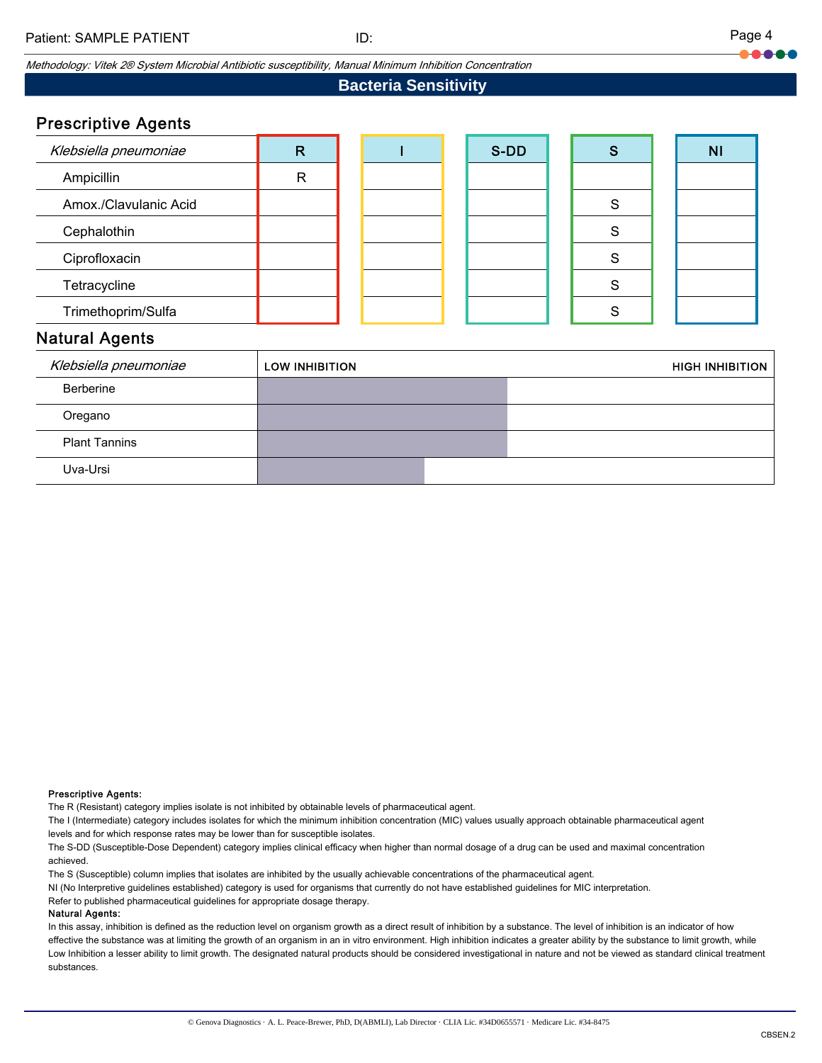Methodology: Vitek 2® System Microbial Antibiotic susceptibility, Manual Minimum Inhibition Concentration

## **Bacteria Sensitivity**

## Prescriptive Agents

| Klebsiella pneumoniae | R |  | S-DD | S | N <sub>1</sub> |
|-----------------------|---|--|------|---|----------------|
| Ampicillin            | R |  |      |   |                |
| Amox./Clavulanic Acid |   |  |      | S |                |
| Cephalothin           |   |  |      | S |                |
| Ciprofloxacin         |   |  |      | S |                |
| Tetracycline          |   |  |      | S |                |
| Trimethoprim/Sulfa    |   |  |      | ິ |                |
| Notural Agonto        |   |  |      |   |                |

### Natural Agents

| Klebsiella pneumoniae | <b>LOW INHIBITION</b> | <b>HIGH INHIBITION</b> |
|-----------------------|-----------------------|------------------------|
| Berberine             |                       |                        |
| Oregano               |                       |                        |
| <b>Plant Tannins</b>  |                       |                        |
| Uva-Ursi              |                       |                        |

### Prescriptive Agents:

The R (Resistant) category implies isolate is not inhibited by obtainable levels of pharmaceutical agent.

The I (Intermediate) category includes isolates for which the minimum inhibition concentration (MIC) values usually approach obtainable pharmaceutical agent levels and for which response rates may be lower than for susceptible isolates.

The S-DD (Susceptible-Dose Dependent) category implies clinical efficacy when higher than normal dosage of a drug can be used and maximal concentration achieved.

The S (Susceptible) column implies that isolates are inhibited by the usually achievable concentrations of the pharmaceutical agent.

NI (No Interpretive guidelines established) category is used for organisms that currently do not have established guidelines for MIC interpretation.

Refer to published pharmaceutical guidelines for appropriate dosage therapy.

### Natural Agents:

In this assay, inhibition is defined as the reduction level on organism growth as a direct result of inhibition by a substance. The level of inhibition is an indicator of how effective the substance was at limiting the growth of an organism in an in vitro environment. High inhibition indicates a greater ability by the substance to limit growth, while Low Inhibition a lesser ability to limit growth. The designated natural products should be considered investigational in nature and not be viewed as standard clinical treatment substances.